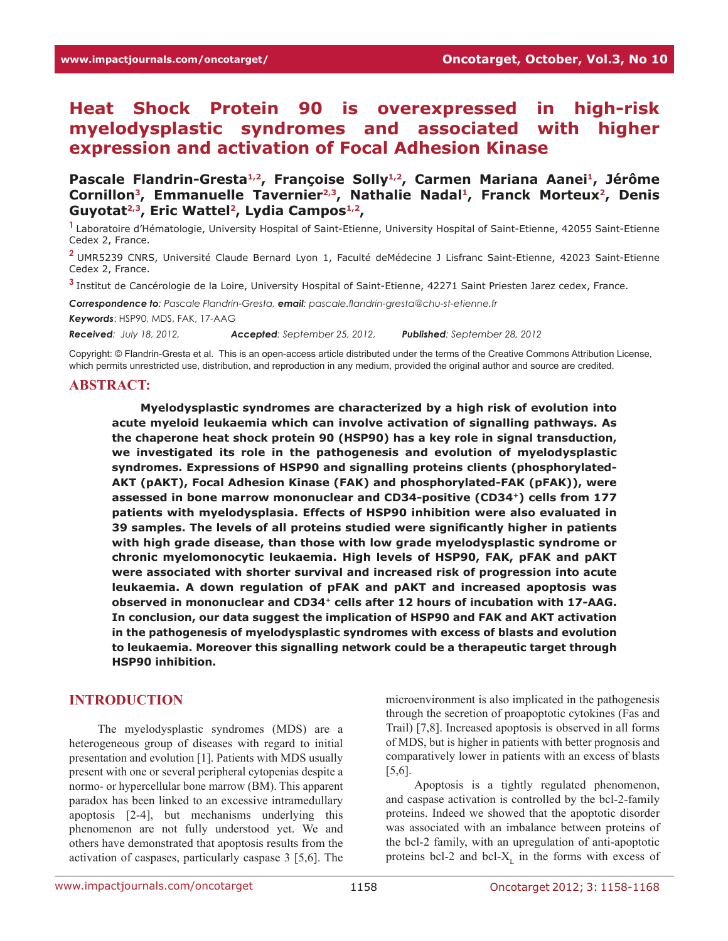# **Heat Shock Protein 90 is overexpressed in high-risk myelodysplastic syndromes and associated with higher expression and activation of Focal Adhesion Kinase**

Pascale Flandrin-Gresta<sup>1,2</sup>, Françoise Solly<sup>1,2</sup>, Carmen Mariana Aanei<sup>1</sup>, Jérôme Cornillon<sup>3</sup>, Emmanuelle Tavernier<sup>2,3</sup>, Nathalie Nadal<sup>1</sup>, Franck Morteux<sup>2</sup>, Denis **Guyotat2,3, Eric Wattel2, Lydia Campos1,2,**

**<sup>1</sup>**Laboratoire d'Hématologie, University Hospital of Saint-Etienne, University Hospital of Saint-Etienne, 42055 Saint-Etienne Cedex 2, France.

**<sup>2</sup>**UMR5239 CNRS, Université Claude Bernard Lyon 1, Faculté deMédecine J Lisfranc Saint-Etienne, 42023 Saint-Etienne Cedex 2, France.

**<sup>3</sup>**Institut de Cancérologie de la Loire, University Hospital of Saint-Etienne, 42271 Saint Priesten Jarez cedex, France.

*Correspondence to: Pascale Flandrin-Gresta, email: pascale.flandrin-gresta@chu-st-etienne.fr*

*Keywords*: HSP90, MDS, FAK, 17-AAG

*Received: July 18, 2012, Accepted: September 25, 2012, Published: September 28, 2012*

Copyright: © Flandrin-Gresta et al. This is an open-access article distributed under the terms of the Creative Commons Attribution License, which permits unrestricted use, distribution, and reproduction in any medium, provided the original author and source are credited.

#### **Abstract:**

**Myelodysplastic syndromes are characterized by a high risk of evolution into acute myeloid leukaemia which can involve activation of signalling pathways. As the chaperone heat shock protein 90 (HSP90) has a key role in signal transduction, we investigated its role in the pathogenesis and evolution of myelodysplastic syndromes. Expressions of HSP90 and signalling proteins clients (phosphorylated-AKT (pAKT), Focal Adhesion Kinase (FAK) and phosphorylated-FAK (pFAK)), were assessed in bone marrow mononuclear and CD34-positive (CD34+) cells from 177 patients with myelodysplasia. Effects of HSP90 inhibition were also evaluated in 39 samples. The levels of all proteins studied were significantly higher in patients with high grade disease, than those with low grade myelodysplastic syndrome or chronic myelomonocytic leukaemia. High levels of HSP90, FAK, pFAK and pAKT were associated with shorter survival and increased risk of progression into acute leukaemia. A down regulation of pFAK and pAKT and increased apoptosis was observed in mononuclear and CD34+ cells after 12 hours of incubation with 17-AAG. In conclusion, our data suggest the implication of HSP90 and FAK and AKT activation in the pathogenesis of myelodysplastic syndromes with excess of blasts and evolution to leukaemia. Moreover this signalling network could be a therapeutic target through HSP90 inhibition.** 

### **INTRODUCTION**

The myelodysplastic syndromes (MDS) are a heterogeneous group of diseases with regard to initial presentation and evolution [1]. Patients with MDS usually present with one or several peripheral cytopenias despite a normo- or hypercellular bone marrow (BM). This apparent paradox has been linked to an excessive intramedullary apoptosis [2-4], but mechanisms underlying this phenomenon are not fully understood yet. We and others have demonstrated that apoptosis results from the activation of caspases, particularly caspase 3 [5,6]. The

microenvironment is also implicated in the pathogenesis through the secretion of proapoptotic cytokines (Fas and Trail) [7,8]. Increased apoptosis is observed in all forms of MDS, but is higher in patients with better prognosis and comparatively lower in patients with an excess of blasts [5,6].

Apoptosis is a tightly regulated phenomenon, and caspase activation is controlled by the bcl-2-family proteins. Indeed we showed that the apoptotic disorder was associated with an imbalance between proteins of the bcl-2 family, with an upregulation of anti-apoptotic proteins bcl-2 and bcl- $X<sub>r</sub>$  in the forms with excess of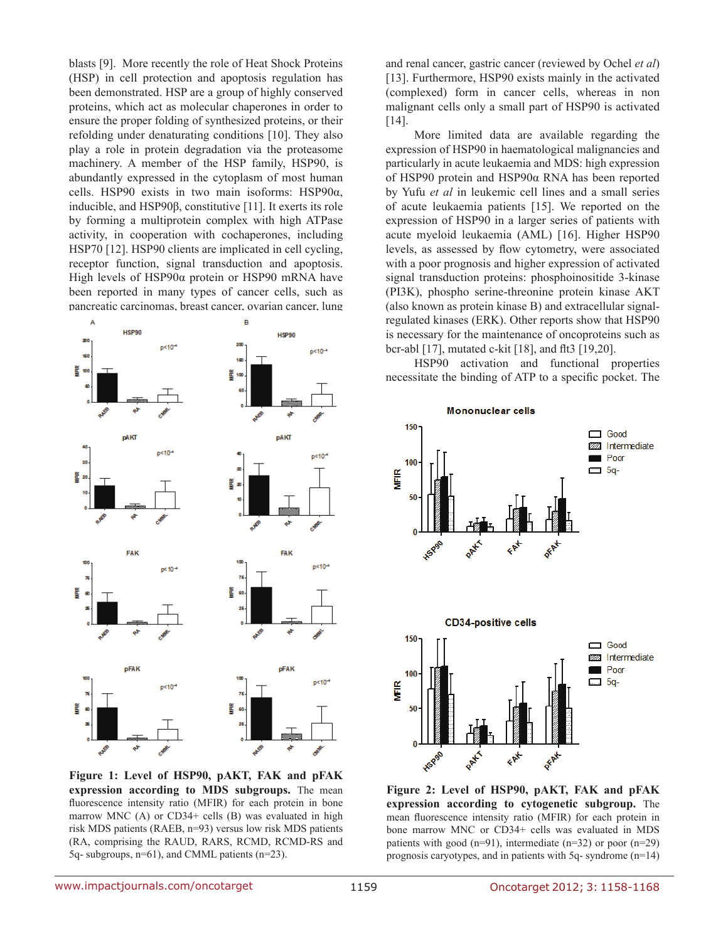blasts [9]. More recently the role of Heat Shock Proteins (HSP) in cell protection and apoptosis regulation has been demonstrated. HSP are a group of highly conserved proteins, which act as molecular chaperones in order to ensure the proper folding of synthesized proteins, or their refolding under denaturating conditions [10]. They also play a role in protein degradation via the proteasome machinery. A member of the HSP family, HSP90, is abundantly expressed in the cytoplasm of most human cells. HSP90 exists in two main isoforms: HSP90α, inducible, and HSP90β, constitutive [11]. It exerts its role by forming a multiprotein complex with high ATPase activity, in cooperation with cochaperones, including HSP70 [12]. HSP90 clients are implicated in cell cycling, receptor function, signal transduction and apoptosis. High levels of HSP90α protein or HSP90 mRNA have been reported in many types of cancer cells, such as pancreatic carcinomas, breast cancer, ovarian cancer, lung



**Figure 1: Level of HSP90, pAKT, FAK and pFAK expression according to MDS subgroups.** The mean fluorescence intensity ratio (MFIR) for each protein in bone marrow MNC (A) or CD34+ cells (B) was evaluated in high risk MDS patients (RAEB, n=93) versus low risk MDS patients (RA, comprising the RAUD, RARS, RCMD, RCMD-RS and 5q- subgroups, n=61), and CMML patients (n=23).

and renal cancer, gastric cancer (reviewed by Ochel *et al*) [13]. Furthermore, HSP90 exists mainly in the activated (complexed) form in cancer cells, whereas in non malignant cells only a small part of HSP90 is activated [14].

More limited data are available regarding the expression of HSP90 in haematological malignancies and particularly in acute leukaemia and MDS: high expression of HSP90 protein and HSP90α RNA has been reported by Yufu *et al* in leukemic cell lines and a small series of acute leukaemia patients [15]. We reported on the expression of HSP90 in a larger series of patients with acute myeloid leukaemia (AML) [16]. Higher HSP90 levels, as assessed by flow cytometry, were associated with a poor prognosis and higher expression of activated signal transduction proteins: phosphoinositide 3-kinase (PI3K), phospho serine-threonine protein kinase AKT (also known as protein kinase B) and extracellular signalregulated kinases (ERK). Other reports show that HSP90 is necessary for the maintenance of oncoproteins such as bcr-abl [17], mutated c-kit [18], and flt3 [19,20].

HSP90 activation and functional properties necessitate the binding of ATP to a specific pocket. The



**Figure 2: Level of HSP90, pAKT, FAK and pFAK expression according to cytogenetic subgroup.** The mean fluorescence intensity ratio (MFIR) for each protein in bone marrow MNC or CD34+ cells was evaluated in MDS patients with good (n=91), intermediate (n=32) or poor (n=29) prognosis caryotypes, and in patients with 5q- syndrome (n=14)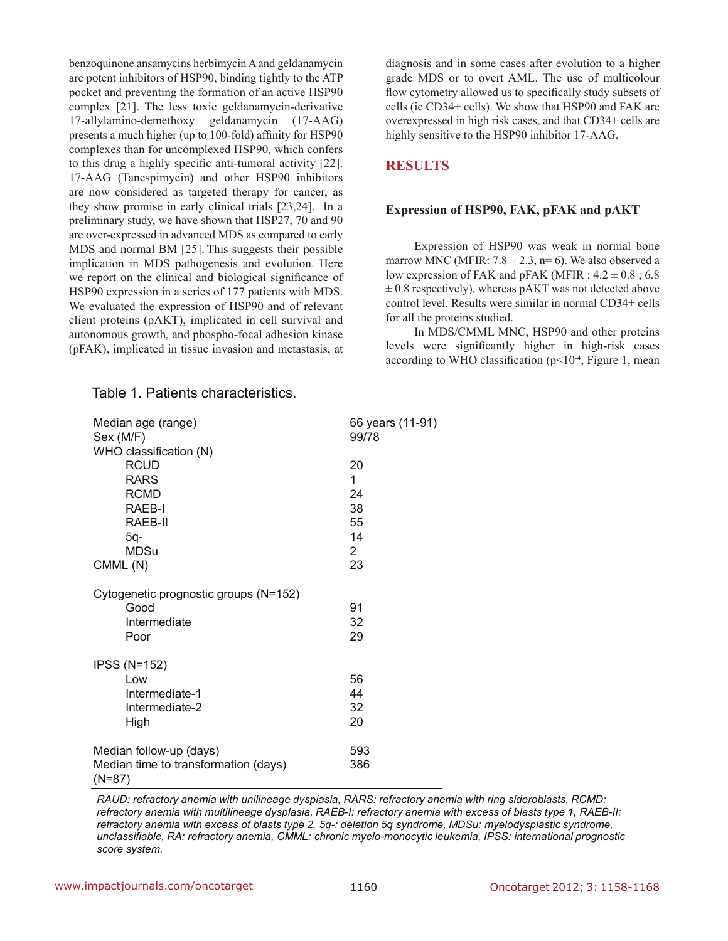benzoquinone ansamycins herbimycin A and geldanamycin are potent inhibitors of HSP90, binding tightly to the ATP pocket and preventing the formation of an active HSP90 complex [21]. The less toxic geldanamycin-derivative 17-allylamino-demethoxy geldanamycin (17-AAG) presents a much higher (up to 100-fold) affinity for HSP90 complexes than for uncomplexed HSP90, which confers to this drug a highly specific anti-tumoral activity [22]. 17-AAG (Tanespimycin) and other HSP90 inhibitors are now considered as targeted therapy for cancer, as they show promise in early clinical trials [23,24]. In a preliminary study, we have shown that HSP27, 70 and 90 are over-expressed in advanced MDS as compared to early MDS and normal BM [25]. This suggests their possible implication in MDS pathogenesis and evolution. Here we report on the clinical and biological significance of HSP90 expression in a series of 177 patients with MDS. We evaluated the expression of HSP90 and of relevant client proteins (pAKT), implicated in cell survival and autonomous growth, and phospho-focal adhesion kinase (pFAK), implicated in tissue invasion and metastasis, at diagnosis and in some cases after evolution to a higher grade MDS or to overt AML. The use of multicolour flow cytometry allowed us to specifically study subsets of cells (ie CD34+ cells). We show that HSP90 and FAK are overexpressed in high risk cases, and that CD34+ cells are highly sensitive to the HSP90 inhibitor 17-AAG.

### **RESULTS**

#### **Expression of HSP90, FAK, pFAK and pAKT**

Expression of HSP90 was weak in normal bone marrow MNC (MFIR:  $7.8 \pm 2.3$ , n= 6). We also observed a low expression of FAK and pFAK (MFIR :  $4.2 \pm 0.8$ ; 6.8  $\pm$  0.8 respectively), whereas pAKT was not detected above control level. Results were similar in normal CD34+ cells for all the proteins studied.

In MDS/CMML MNC, HSP90 and other proteins levels were significantly higher in high-risk cases according to WHO classification ( $p<10<sup>-4</sup>$ , Figure 1, mean

| Median age (range)                             | 66 years (11-91) |  |  |
|------------------------------------------------|------------------|--|--|
| Sex (M/F)                                      | 99/78            |  |  |
| WHO classification (N)                         |                  |  |  |
| <b>RCUD</b>                                    | 20               |  |  |
| <b>RARS</b>                                    | 1                |  |  |
| <b>RCMD</b>                                    | 24               |  |  |
| RAEB-I                                         | 38               |  |  |
| RAEB-II                                        | 55               |  |  |
| 5q-                                            | 14               |  |  |
| <b>MDSu</b>                                    | $\overline{2}$   |  |  |
| CMML(N)                                        | 23               |  |  |
| Cytogenetic prognostic groups (N=152)          |                  |  |  |
| Good                                           | 91               |  |  |
| Intermediate                                   | 32               |  |  |
| Poor                                           | 29               |  |  |
| <b>IPSS (N=152)</b>                            |                  |  |  |
| Low                                            | 56               |  |  |
| Intermediate-1                                 | 44               |  |  |
| Intermediate-2                                 | 32               |  |  |
| High                                           | 20               |  |  |
| Median follow-up (days)                        | 593              |  |  |
| Median time to transformation (days)<br>(N=87) | 386              |  |  |
|                                                |                  |  |  |

#### Table 1. Patients characteristics.

*RAUD: refractory anemia with unilineage dysplasia, RARS: refractory anemia with ring sideroblasts, RCMD: refractory anemia with multilineage dysplasia, RAEB-I: refractory anemia with excess of blasts type 1, RAEB-II: refractory anemia with excess of blasts type 2, 5q-: deletion 5q syndrome, MDSu: myelodysplastic syndrome, unclassifiable, RA: refractory anemia, CMML: chronic myelo-monocytic leukemia, IPSS: international prognostic score system.*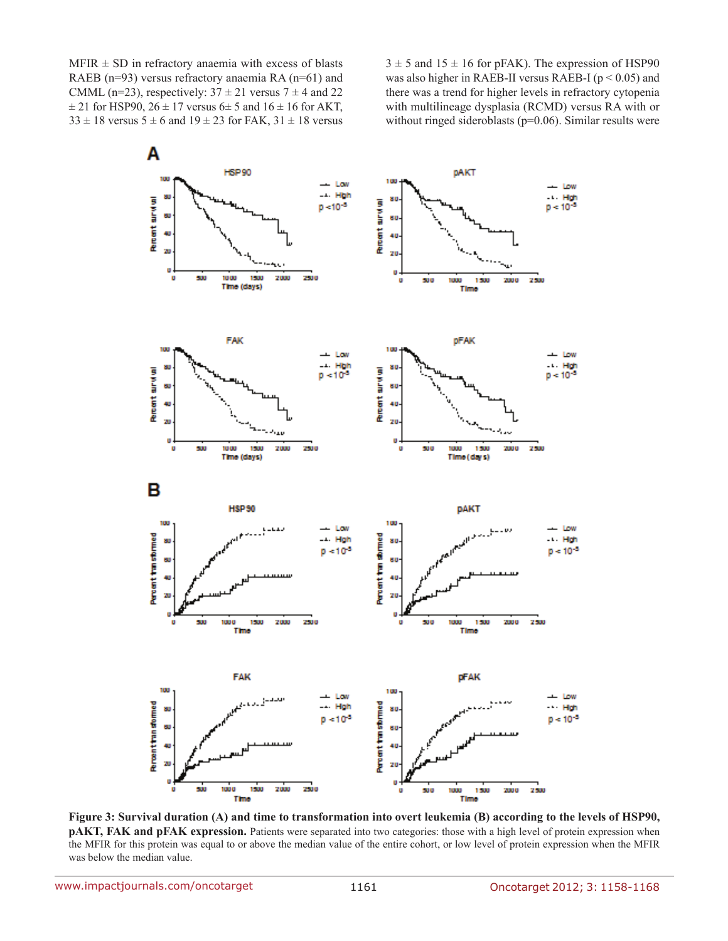$MFIR \pm SD$  in refractory anaemia with excess of blasts RAEB (n=93) versus refractory anaemia RA (n=61) and CMML (n=23), respectively:  $37 \pm 21$  versus  $7 \pm 4$  and 22  $\pm$  21 for HSP90, 26  $\pm$  17 versus 6 $\pm$  5 and 16  $\pm$  16 for AKT,  $33 \pm 18$  versus  $5 \pm 6$  and  $19 \pm 23$  for FAK,  $31 \pm 18$  versus  $3 \pm 5$  and  $15 \pm 16$  for pFAK). The expression of HSP90 was also higher in RAEB-II versus RAEB-I ( $p < 0.05$ ) and there was a trend for higher levels in refractory cytopenia with multilineage dysplasia (RCMD) versus RA with or without ringed sideroblasts (p=0.06). Similar results were



**Figure 3: Survival duration (A) and time to transformation into overt leukemia (B) according to the levels of HSP90, pAKT, FAK and pFAK expression.** Patients were separated into two categories: those with a high level of protein expression when the MFIR for this protein was equal to or above the median value of the entire cohort, or low level of protein expression when the MFIR was below the median value.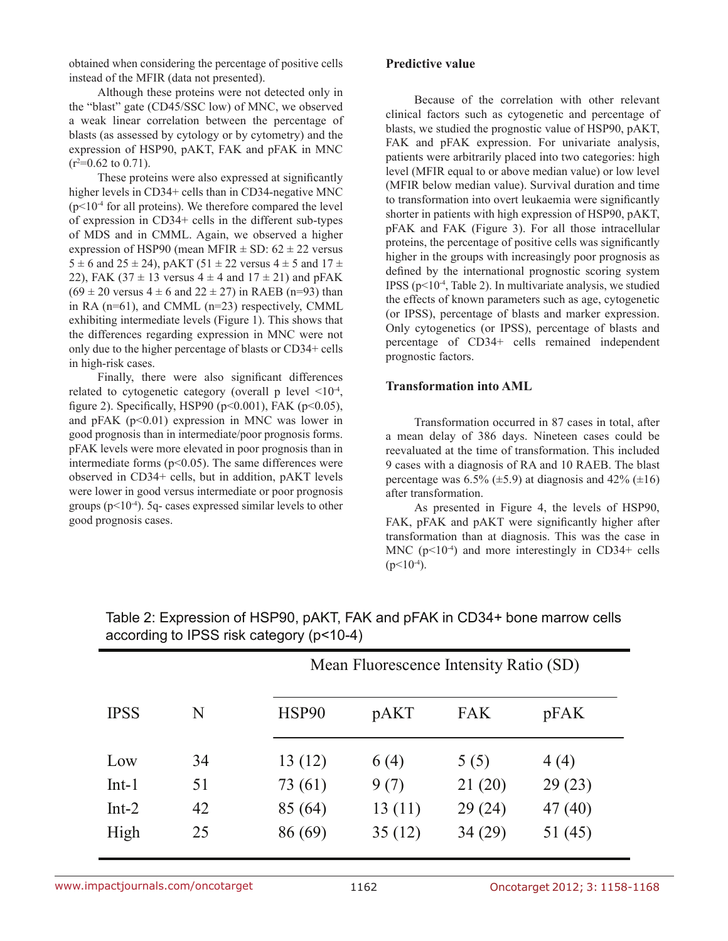obtained when considering the percentage of positive cells instead of the MFIR (data not presented).

Although these proteins were not detected only in the "blast" gate (CD45/SSC low) of MNC, we observed a weak linear correlation between the percentage of blasts (as assessed by cytology or by cytometry) and the expression of HSP90, pAKT, FAK and pFAK in MNC  $(r^2=0.62 \text{ to } 0.71).$ 

These proteins were also expressed at significantly higher levels in CD34+ cells than in CD34-negative MNC  $(p<10<sup>-4</sup>$  for all proteins). We therefore compared the level of expression in CD34+ cells in the different sub-types of MDS and in CMML. Again, we observed a higher expression of HSP90 (mean MFIR  $\pm$  SD: 62  $\pm$  22 versus 5  $\pm$  6 and 25  $\pm$  24), pAKT (51  $\pm$  22 versus 4  $\pm$  5 and 17  $\pm$ 22), FAK (37  $\pm$  13 versus 4  $\pm$  4 and 17  $\pm$  21) and pFAK  $(69 \pm 20 \text{ versus } 4 \pm 6 \text{ and } 22 \pm 27)$  in RAEB (n=93) than in RA (n=61), and CMML (n=23) respectively, CMML exhibiting intermediate levels (Figure 1). This shows that the differences regarding expression in MNC were not only due to the higher percentage of blasts or CD34+ cells in high-risk cases.

Finally, there were also significant differences related to cytogenetic category (overall p level  $\leq 10^{-4}$ , figure 2). Specifically, HSP90 ( $p$ <0.001), FAK ( $p$ <0.05), and pFAK  $(p<0.01)$  expression in MNC was lower in good prognosis than in intermediate/poor prognosis forms. pFAK levels were more elevated in poor prognosis than in intermediate forms ( $p$ <0.05). The same differences were observed in CD34+ cells, but in addition, pAKT levels were lower in good versus intermediate or poor prognosis groups ( $p<10^{-4}$ ). 5q- cases expressed similar levels to other good prognosis cases.

#### **Predictive value**

Because of the correlation with other relevant clinical factors such as cytogenetic and percentage of blasts, we studied the prognostic value of HSP90, pAKT, FAK and pFAK expression. For univariate analysis, patients were arbitrarily placed into two categories: high level (MFIR equal to or above median value) or low level (MFIR below median value). Survival duration and time to transformation into overt leukaemia were significantly shorter in patients with high expression of HSP90, pAKT, pFAK and FAK (Figure 3). For all those intracellular proteins, the percentage of positive cells was significantly higher in the groups with increasingly poor prognosis as defined by the international prognostic scoring system IPSS ( $p<10^{-4}$ , Table 2). In multivariate analysis, we studied the effects of known parameters such as age, cytogenetic (or IPSS), percentage of blasts and marker expression. Only cytogenetics (or IPSS), percentage of blasts and percentage of CD34+ cells remained independent prognostic factors.

### **Transformation into AML**

Transformation occurred in 87 cases in total, after a mean delay of 386 days. Nineteen cases could be reevaluated at the time of transformation. This included 9 cases with a diagnosis of RA and 10 RAEB. The blast percentage was  $6.5\%$  ( $\pm 5.9$ ) at diagnosis and  $42\%$  ( $\pm 16$ ) after transformation.

As presented in Figure 4, the levels of HSP90, FAK, pFAK and pAKT were significantly higher after transformation than at diagnosis. This was the case in MNC  $(p<10<sup>-4</sup>)$  and more interestingly in CD34+ cells  $(p<10^{-4})$ .

|             |    |         | Mean Fluorescence Intensity Ratio (SD) |            |         |  |
|-------------|----|---------|----------------------------------------|------------|---------|--|
| <b>IPSS</b> | N  | HSP90   | pAKT                                   | <b>FAK</b> | pFAK    |  |
| Low         | 34 | 13(12)  | 6(4)                                   | 5(5)       | 4(4)    |  |
| $Int-1$     | 51 | 73 (61) | 9(7)                                   | 21(20)     | 29(23)  |  |
| $Int-2$     | 42 | 85 (64) | 13(11)                                 | 29(24)     | 47(40)  |  |
| High        | 25 | 86(69)  | 35(12)                                 | 34(29)     | 51 (45) |  |

Table 2: Expression of HSP90, pAKT, FAK and pFAK in CD34+ bone marrow cells according to IPSS risk category (p<10-4)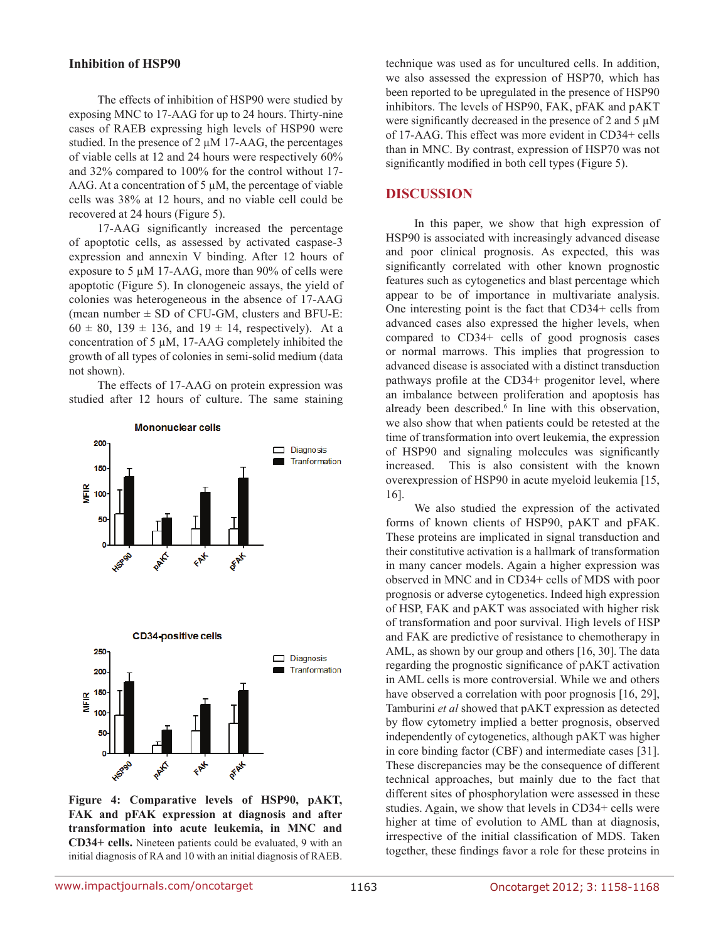#### **Inhibition of HSP90**

The effects of inhibition of HSP90 were studied by exposing MNC to 17-AAG for up to 24 hours. Thirty-nine cases of RAEB expressing high levels of HSP90 were studied. In the presence of 2  $\mu$ M 17-AAG, the percentages of viable cells at 12 and 24 hours were respectively 60% and 32% compared to 100% for the control without 17- AAG. At a concentration of  $5 \mu$ M, the percentage of viable cells was 38% at 12 hours, and no viable cell could be recovered at 24 hours (Figure 5).

17-AAG significantly increased the percentage of apoptotic cells, as assessed by activated caspase-3 expression and annexin V binding. After 12 hours of exposure to 5 µM 17-AAG, more than 90% of cells were apoptotic (Figure 5). In clonogeneic assays, the yield of colonies was heterogeneous in the absence of 17-AAG (mean number  $\pm$  SD of CFU-GM, clusters and BFU-E:  $60 \pm 80$ , 139  $\pm$  136, and 19  $\pm$  14, respectively). At a concentration of 5  $\mu$ M, 17-AAG completely inhibited the growth of all types of colonies in semi-solid medium (data not shown).

The effects of 17-AAG on protein expression was studied after 12 hours of culture. The same staining



**Figure 4: Comparative levels of HSP90, pAKT, FAK and pFAK expression at diagnosis and after transformation into acute leukemia, in MNC and CD34+ cells.** Nineteen patients could be evaluated, 9 with an initial diagnosis of RA and 10 with an initial diagnosis of RAEB.

technique was used as for uncultured cells. In addition, we also assessed the expression of HSP70, which has been reported to be upregulated in the presence of HSP90 inhibitors. The levels of HSP90, FAK, pFAK and pAKT were significantly decreased in the presence of 2 and 5  $\mu$ M of 17-AAG. This effect was more evident in CD34+ cells than in MNC. By contrast, expression of HSP70 was not significantly modified in both cell types (Figure 5).

### **DISCUSSION**

In this paper, we show that high expression of HSP90 is associated with increasingly advanced disease and poor clinical prognosis. As expected, this was significantly correlated with other known prognostic features such as cytogenetics and blast percentage which appear to be of importance in multivariate analysis. One interesting point is the fact that CD34+ cells from advanced cases also expressed the higher levels, when compared to CD34+ cells of good prognosis cases or normal marrows. This implies that progression to advanced disease is associated with a distinct transduction pathways profile at the CD34+ progenitor level, where an imbalance between proliferation and apoptosis has already been described.<sup>6</sup> In line with this observation, we also show that when patients could be retested at the time of transformation into overt leukemia, the expression of HSP90 and signaling molecules was significantly increased. This is also consistent with the known overexpression of HSP90 in acute myeloid leukemia [15, 16].

We also studied the expression of the activated forms of known clients of HSP90, pAKT and pFAK. These proteins are implicated in signal transduction and their constitutive activation is a hallmark of transformation in many cancer models. Again a higher expression was observed in MNC and in CD34+ cells of MDS with poor prognosis or adverse cytogenetics. Indeed high expression of HSP, FAK and pAKT was associated with higher risk of transformation and poor survival. High levels of HSP and FAK are predictive of resistance to chemotherapy in AML, as shown by our group and others [16, 30]. The data regarding the prognostic significance of pAKT activation in AML cells is more controversial. While we and others have observed a correlation with poor prognosis [16, 29], Tamburini *et al* showed that pAKT expression as detected by flow cytometry implied a better prognosis, observed independently of cytogenetics, although pAKT was higher in core binding factor (CBF) and intermediate cases [31]. These discrepancies may be the consequence of different technical approaches, but mainly due to the fact that different sites of phosphorylation were assessed in these studies. Again, we show that levels in CD34+ cells were higher at time of evolution to AML than at diagnosis, irrespective of the initial classification of MDS. Taken together, these findings favor a role for these proteins in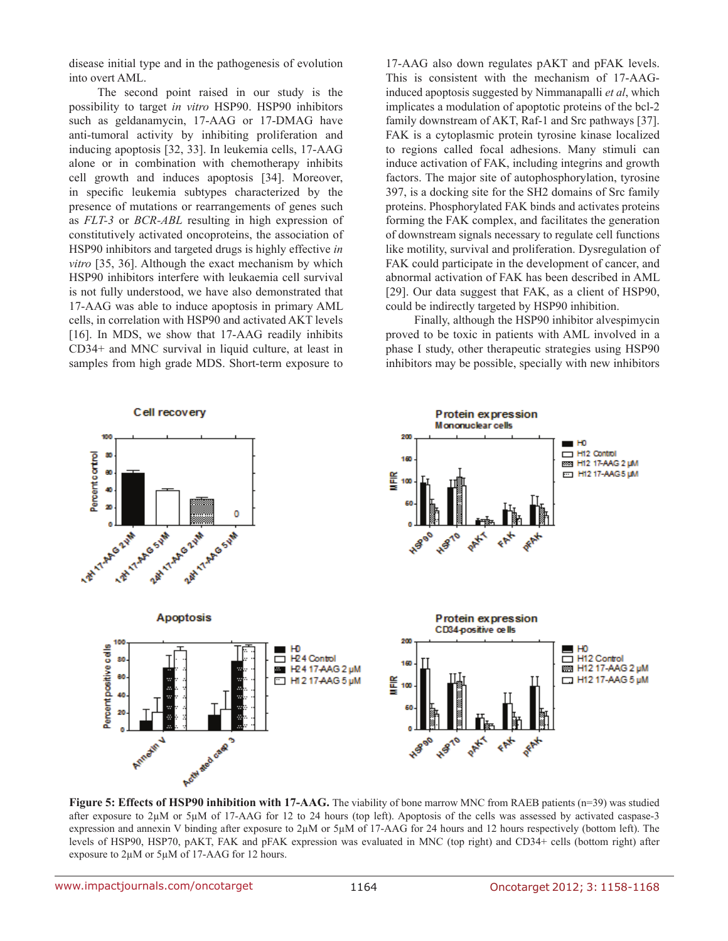disease initial type and in the pathogenesis of evolution into overt AML.

The second point raised in our study is the possibility to target *in vitro* HSP90. HSP90 inhibitors such as geldanamycin, 17-AAG or 17-DMAG have anti-tumoral activity by inhibiting proliferation and inducing apoptosis [32, 33]. In leukemia cells, 17-AAG alone or in combination with chemotherapy inhibits cell growth and induces apoptosis [34]. Moreover, in specific leukemia subtypes characterized by the presence of mutations or rearrangements of genes such as *FLT-3* or *BCR-ABL* resulting in high expression of constitutively activated oncoproteins, the association of HSP90 inhibitors and targeted drugs is highly effective *in vitro* [35, 36]. Although the exact mechanism by which HSP90 inhibitors interfere with leukaemia cell survival is not fully understood, we have also demonstrated that 17-AAG was able to induce apoptosis in primary AML cells, in correlation with HSP90 and activated AKT levels [16]. In MDS, we show that 17-AAG readily inhibits CD34+ and MNC survival in liquid culture, at least in samples from high grade MDS. Short-term exposure to

17-AAG also down regulates pAKT and pFAK levels. This is consistent with the mechanism of 17-AAGinduced apoptosis suggested by Nimmanapalli *et al*, which implicates a modulation of apoptotic proteins of the bcl-2 family downstream of AKT, Raf-1 and Src pathways [37]. FAK is a cytoplasmic protein tyrosine kinase localized to regions called focal adhesions. Many stimuli can induce activation of FAK, including integrins and growth factors. The major site of autophosphorylation, tyrosine 397, is a docking site for the SH2 domains of Src family proteins. Phosphorylated FAK binds and activates proteins forming the FAK complex, and facilitates the generation of downstream signals necessary to regulate cell functions like motility, survival and proliferation. Dysregulation of FAK could participate in the development of cancer, and abnormal activation of FAK has been described in AML [29]. Our data suggest that FAK, as a client of HSP90, could be indirectly targeted by HSP90 inhibition.

Finally, although the HSP90 inhibitor alvespimycin proved to be toxic in patients with AML involved in a phase I study, other therapeutic strategies using HSP90 inhibitors may be possible, specially with new inhibitors



**Figure 5: Effects of HSP90 inhibition with 17-AAG.** The viability of bone marrow MNC from RAEB patients (n=39) was studied after exposure to 2 $\mu$ M or 5 $\mu$ M of 17-AAG for 12 to 24 hours (top left). Apoptosis of the cells was assessed by activated caspase-3 expression and annexin V binding after exposure to 2µM or 5µM of 17-AAG for 24 hours and 12 hours respectively (bottom left). The levels of HSP90, HSP70, pAKT, FAK and pFAK expression was evaluated in MNC (top right) and CD34+ cells (bottom right) after exposure to 2µM or 5µM of 17-AAG for 12 hours.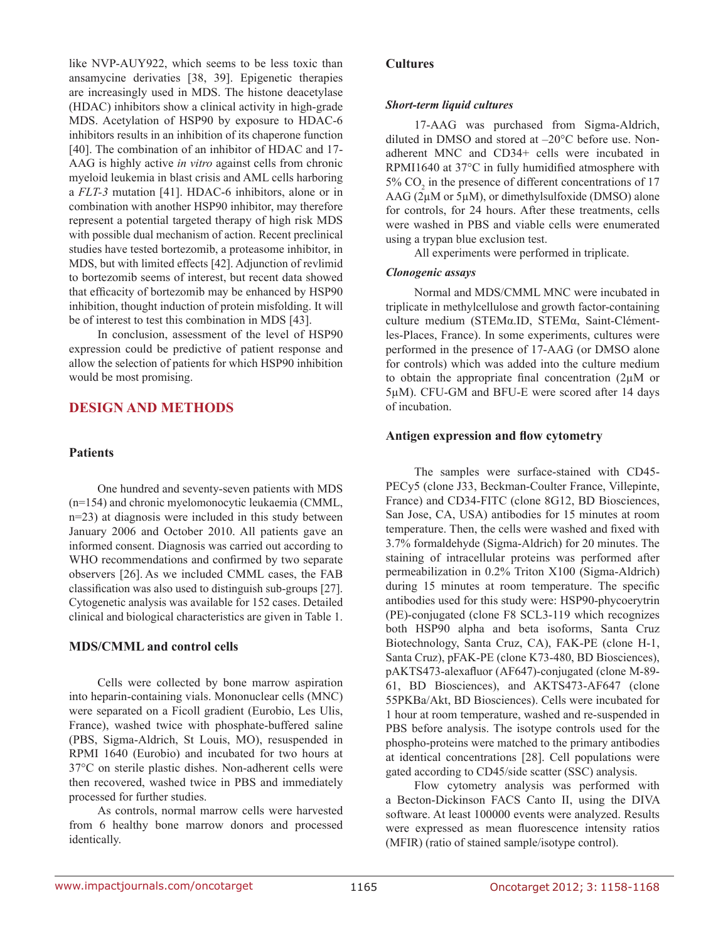like NVP-AUY922, which seems to be less toxic than ansamycine derivaties [38, 39]. Epigenetic therapies are increasingly used in MDS. The histone deacetylase (HDAC) inhibitors show a clinical activity in high-grade MDS. Acetylation of HSP90 by exposure to HDAC-6 inhibitors results in an inhibition of its chaperone function [40]. The combination of an inhibitor of HDAC and 17- AAG is highly active *in vitro* against cells from chronic myeloid leukemia in blast crisis and AML cells harboring a *FLT-3* mutation [41]. HDAC-6 inhibitors, alone or in combination with another HSP90 inhibitor, may therefore represent a potential targeted therapy of high risk MDS with possible dual mechanism of action. Recent preclinical studies have tested bortezomib, a proteasome inhibitor, in MDS, but with limited effects [42]. Adjunction of revlimid to bortezomib seems of interest, but recent data showed that efficacity of bortezomib may be enhanced by HSP90 inhibition, thought induction of protein misfolding. It will be of interest to test this combination in MDS [43].

In conclusion, assessment of the level of HSP90 expression could be predictive of patient response and allow the selection of patients for which HSP90 inhibition would be most promising.

### **DESIGN AND METHODS**

#### **Patients**

One hundred and seventy-seven patients with MDS (n=154) and chronic myelomonocytic leukaemia (CMML, n=23) at diagnosis were included in this study between January 2006 and October 2010. All patients gave an informed consent. Diagnosis was carried out according to WHO recommendations and confirmed by two separate observers [26]. As we included CMML cases, the FAB classification was also used to distinguish sub-groups [27]. Cytogenetic analysis was available for 152 cases. Detailed clinical and biological characteristics are given in Table 1.

### **MDS/CMML and control cells**

Cells were collected by bone marrow aspiration into heparin-containing vials. Mononuclear cells (MNC) were separated on a Ficoll gradient (Eurobio, Les Ulis, France), washed twice with phosphate-buffered saline (PBS, Sigma-Aldrich, St Louis, MO), resuspended in RPMI 1640 (Eurobio) and incubated for two hours at 37°C on sterile plastic dishes. Non-adherent cells were then recovered, washed twice in PBS and immediately processed for further studies.

As controls, normal marrow cells were harvested from 6 healthy bone marrow donors and processed identically.

#### **Cultures**

#### *Short-term liquid cultures*

17-AAG was purchased from Sigma-Aldrich, diluted in DMSO and stored at –20°C before use. Nonadherent MNC and CD34+ cells were incubated in RPMI1640 at 37°C in fully humidified atmosphere with 5%  $CO<sub>2</sub>$  in the presence of different concentrations of 17 AAG (2µM or 5µM), or dimethylsulfoxide (DMSO) alone for controls, for 24 hours. After these treatments, cells were washed in PBS and viable cells were enumerated using a trypan blue exclusion test.

All experiments were performed in triplicate.

#### *Clonogenic assays*

Normal and MDS/CMML MNC were incubated in triplicate in methylcellulose and growth factor-containing culture medium (STEMα.ID, STEMα, Saint-Clémentles-Places, France). In some experiments, cultures were performed in the presence of 17-AAG (or DMSO alone for controls) which was added into the culture medium to obtain the appropriate final concentration (2µM or 5µM). CFU-GM and BFU-E were scored after 14 days of incubation.

#### **Antigen expression and flow cytometry**

The samples were surface-stained with CD45- PECy5 (clone J33, Beckman-Coulter France, Villepinte, France) and CD34-FITC (clone 8G12, BD Biosciences, San Jose, CA, USA) antibodies for 15 minutes at room temperature. Then, the cells were washed and fixed with 3.7% formaldehyde (Sigma-Aldrich) for 20 minutes. The staining of intracellular proteins was performed after permeabilization in 0.2% Triton X100 (Sigma-Aldrich) during 15 minutes at room temperature. The specific antibodies used for this study were: HSP90-phycoerytrin (PE)-conjugated (clone F8 SCL3-119 which recognizes both HSP90 alpha and beta isoforms, Santa Cruz Biotechnology, Santa Cruz, CA), FAK-PE (clone H-1, Santa Cruz), pFAK-PE (clone K73-480, BD Biosciences), pAKTS473-alexafluor (AF647)-conjugated (clone M-89- 61, BD Biosciences), and AKTS473-AF647 (clone 55PKBa/Akt, BD Biosciences). Cells were incubated for 1 hour at room temperature, washed and re-suspended in PBS before analysis. The isotype controls used for the phospho-proteins were matched to the primary antibodies at identical concentrations [28]. Cell populations were gated according to CD45/side scatter (SSC) analysis.

Flow cytometry analysis was performed with a Becton-Dickinson FACS Canto II, using the DIVA software. At least 100000 events were analyzed. Results were expressed as mean fluorescence intensity ratios (MFIR) (ratio of stained sample/isotype control).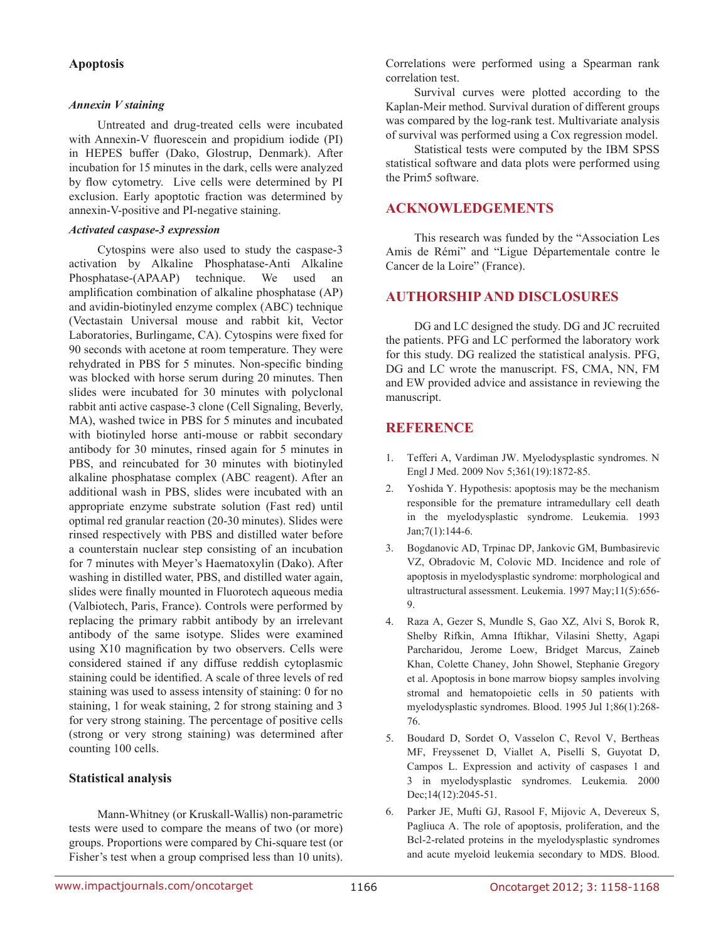### **Apoptosis**

#### *Annexin V staining*

Untreated and drug-treated cells were incubated with Annexin-V fluorescein and propidium iodide (PI) in HEPES buffer (Dako, Glostrup, Denmark). After incubation for 15 minutes in the dark, cells were analyzed by flow cytometry. Live cells were determined by PI exclusion. Early apoptotic fraction was determined by annexin-V-positive and PI-negative staining.

#### *Activated caspase-3 expression*

Cytospins were also used to study the caspase-3 activation by Alkaline Phosphatase-Anti Alkaline Phosphatase-(APAAP) technique. We used an amplification combination of alkaline phosphatase (AP) and avidin-biotinyled enzyme complex (ABC) technique (Vectastain Universal mouse and rabbit kit, Vector Laboratories, Burlingame, CA). Cytospins were fixed for 90 seconds with acetone at room temperature. They were rehydrated in PBS for 5 minutes. Non-specific binding was blocked with horse serum during 20 minutes. Then slides were incubated for 30 minutes with polyclonal rabbit anti active caspase-3 clone (Cell Signaling, Beverly, MA), washed twice in PBS for 5 minutes and incubated with biotinyled horse anti-mouse or rabbit secondary antibody for 30 minutes, rinsed again for 5 minutes in PBS, and reincubated for 30 minutes with biotinyled alkaline phosphatase complex (ABC reagent). After an additional wash in PBS, slides were incubated with an appropriate enzyme substrate solution (Fast red) until optimal red granular reaction (20-30 minutes). Slides were rinsed respectively with PBS and distilled water before a counterstain nuclear step consisting of an incubation for 7 minutes with Meyer's Haematoxylin (Dako). After washing in distilled water, PBS, and distilled water again, slides were finally mounted in Fluorotech aqueous media (Valbiotech, Paris, France). Controls were performed by replacing the primary rabbit antibody by an irrelevant antibody of the same isotype. Slides were examined using X10 magnification by two observers. Cells were considered stained if any diffuse reddish cytoplasmic staining could be identified. A scale of three levels of red staining was used to assess intensity of staining: 0 for no staining, 1 for weak staining, 2 for strong staining and 3 for very strong staining. The percentage of positive cells (strong or very strong staining) was determined after counting 100 cells.

### **Statistical analysis**

Mann-Whitney (or Kruskall-Wallis) non-parametric tests were used to compare the means of two (or more) groups. Proportions were compared by Chi-square test (or Fisher's test when a group comprised less than 10 units). Correlations were performed using a Spearman rank correlation test.

Survival curves were plotted according to the Kaplan-Meir method. Survival duration of different groups was compared by the log-rank test. Multivariate analysis of survival was performed using a Cox regression model.

Statistical tests were computed by the IBM SPSS statistical software and data plots were performed using the Prim5 software.

### **ACKNOWLEDGEMENTS**

This research was funded by the "Association Les Amis de Rémi" and "Ligue Départementale contre le Cancer de la Loire" (France).

### **AUTHORSHIP AND DISCLOSURES**

DG and LC designed the study. DG and JC recruited the patients. PFG and LC performed the laboratory work for this study. DG realized the statistical analysis. PFG, DG and LC wrote the manuscript. FS, CMA, NN, FM and EW provided advice and assistance in reviewing the manuscript.

## **Reference**

- 1. Tefferi A, Vardiman JW. Myelodysplastic syndromes. N Engl J Med. 2009 Nov 5;361(19):1872-85.
- 2. Yoshida Y. Hypothesis: apoptosis may be the mechanism responsible for the premature intramedullary cell death in the myelodysplastic syndrome. Leukemia. 1993 Jan;7(1):144-6.
- 3. Bogdanovic AD, Trpinac DP, Jankovic GM, Bumbasirevic VZ, Obradovic M, Colovic MD. Incidence and role of apoptosis in myelodysplastic syndrome: morphological and ultrastructural assessment. Leukemia. 1997 May;11(5):656- 9.
- 4. Raza A, Gezer S, Mundle S, Gao XZ, Alvi S, Borok R, Shelby Rifkin, Amna Iftikhar, Vilasini Shetty, Agapi Parcharidou, Jerome Loew, Bridget Marcus, Zaineb Khan, Colette Chaney, John Showel, Stephanie Gregory et al. Apoptosis in bone marrow biopsy samples involving stromal and hematopoietic cells in 50 patients with myelodysplastic syndromes. Blood. 1995 Jul 1;86(1):268- 76.
- 5. Boudard D, Sordet O, Vasselon C, Revol V, Bertheas MF, Freyssenet D, Viallet A, Piselli S, Guyotat D, Campos L. Expression and activity of caspases 1 and 3 in myelodysplastic syndromes. Leukemia. 2000 Dec;14(12):2045-51.
- 6. Parker JE, Mufti GJ, Rasool F, Mijovic A, Devereux S, Pagliuca A. The role of apoptosis, proliferation, and the Bcl-2-related proteins in the myelodysplastic syndromes and acute myeloid leukemia secondary to MDS. Blood.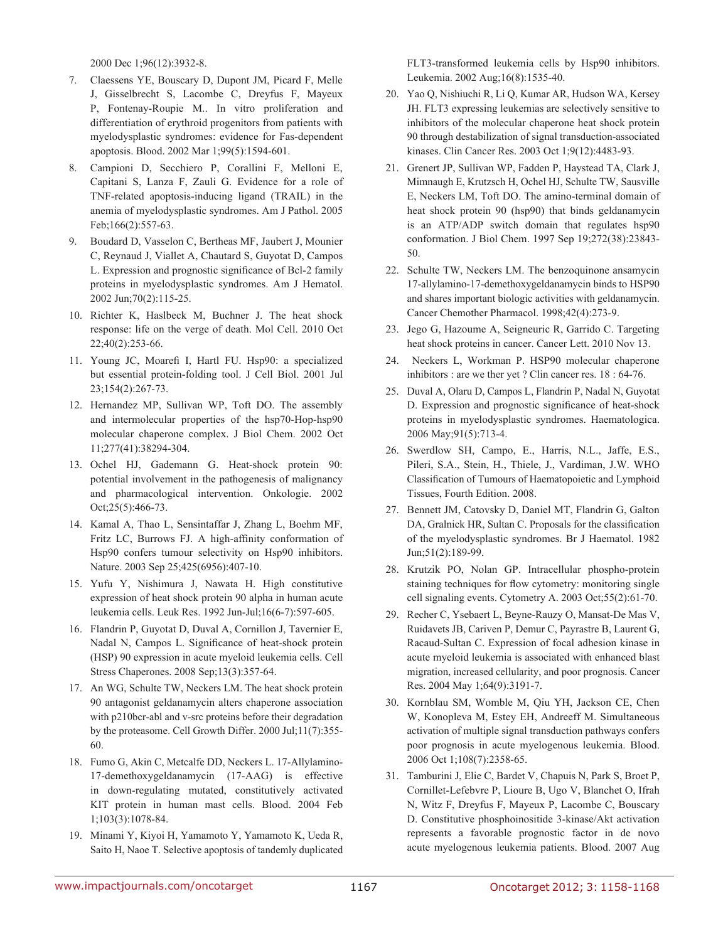2000 Dec 1;96(12):3932-8.

- 7. Claessens YE, Bouscary D, Dupont JM, Picard F, Melle J, Gisselbrecht S, Lacombe C, Dreyfus F, Mayeux P, Fontenay-Roupie M.. In vitro proliferation and differentiation of erythroid progenitors from patients with myelodysplastic syndromes: evidence for Fas-dependent apoptosis. Blood. 2002 Mar 1;99(5):1594-601.
- 8. Campioni D, Secchiero P, Corallini F, Melloni E, Capitani S, Lanza F, Zauli G. Evidence for a role of TNF-related apoptosis-inducing ligand (TRAIL) in the anemia of myelodysplastic syndromes. Am J Pathol. 2005 Feb;166(2):557-63.
- 9. Boudard D, Vasselon C, Bertheas MF, Jaubert J, Mounier C, Reynaud J, Viallet A, Chautard S, Guyotat D, Campos L. Expression and prognostic significance of Bcl-2 family proteins in myelodysplastic syndromes. Am J Hematol. 2002 Jun;70(2):115-25.
- 10. Richter K, Haslbeck M, Buchner J. The heat shock response: life on the verge of death. Mol Cell. 2010 Oct 22;40(2):253-66.
- 11. Young JC, Moarefi I, Hartl FU. Hsp90: a specialized but essential protein-folding tool. J Cell Biol. 2001 Jul 23;154(2):267-73.
- 12. Hernandez MP, Sullivan WP, Toft DO. The assembly and intermolecular properties of the hsp70-Hop-hsp90 molecular chaperone complex. J Biol Chem. 2002 Oct 11;277(41):38294-304.
- 13. Ochel HJ, Gademann G. Heat-shock protein 90: potential involvement in the pathogenesis of malignancy and pharmacological intervention. Onkologie. 2002 Oct;25(5):466-73.
- 14. Kamal A, Thao L, Sensintaffar J, Zhang L, Boehm MF, Fritz LC, Burrows FJ. A high-affinity conformation of Hsp90 confers tumour selectivity on Hsp90 inhibitors. Nature. 2003 Sep 25;425(6956):407-10.
- 15. Yufu Y, Nishimura J, Nawata H. High constitutive expression of heat shock protein 90 alpha in human acute leukemia cells. Leuk Res. 1992 Jun-Jul;16(6-7):597-605.
- 16. Flandrin P, Guyotat D, Duval A, Cornillon J, Tavernier E, Nadal N, Campos L. Significance of heat-shock protein (HSP) 90 expression in acute myeloid leukemia cells. Cell Stress Chaperones. 2008 Sep;13(3):357-64.
- 17. An WG, Schulte TW, Neckers LM. The heat shock protein 90 antagonist geldanamycin alters chaperone association with p210bcr-abl and v-src proteins before their degradation by the proteasome. Cell Growth Differ. 2000 Jul;11(7):355- 60.
- 18. Fumo G, Akin C, Metcalfe DD, Neckers L. 17-Allylamino-17-demethoxygeldanamycin (17-AAG) is effective in down-regulating mutated, constitutively activated KIT protein in human mast cells. Blood. 2004 Feb 1;103(3):1078-84.
- 19. Minami Y, Kiyoi H, Yamamoto Y, Yamamoto K, Ueda R, Saito H, Naoe T. Selective apoptosis of tandemly duplicated

FLT3-transformed leukemia cells by Hsp90 inhibitors. Leukemia. 2002 Aug;16(8):1535-40.

- 20. Yao Q, Nishiuchi R, Li Q, Kumar AR, Hudson WA, Kersey JH. FLT3 expressing leukemias are selectively sensitive to inhibitors of the molecular chaperone heat shock protein 90 through destabilization of signal transduction-associated kinases. Clin Cancer Res. 2003 Oct 1;9(12):4483-93.
- 21. Grenert JP, Sullivan WP, Fadden P, Haystead TA, Clark J, Mimnaugh E, Krutzsch H, Ochel HJ, Schulte TW, Sausville E, Neckers LM, Toft DO. The amino-terminal domain of heat shock protein 90 (hsp90) that binds geldanamycin is an ATP/ADP switch domain that regulates hsp90 conformation. J Biol Chem. 1997 Sep 19;272(38):23843- 50.
- 22. Schulte TW, Neckers LM. The benzoquinone ansamycin 17-allylamino-17-demethoxygeldanamycin binds to HSP90 and shares important biologic activities with geldanamycin. Cancer Chemother Pharmacol. 1998;42(4):273-9.
- 23. Jego G, Hazoume A, Seigneuric R, Garrido C. Targeting heat shock proteins in cancer. Cancer Lett. 2010 Nov 13.
- 24. Neckers L, Workman P. HSP90 molecular chaperone inhibitors : are we ther yet ? Clin cancer res. 18 : 64-76.
- 25. Duval A, Olaru D, Campos L, Flandrin P, Nadal N, Guyotat D. Expression and prognostic significance of heat-shock proteins in myelodysplastic syndromes. Haematologica. 2006 May;91(5):713-4.
- 26. Swerdlow SH, Campo, E., Harris, N.L., Jaffe, E.S., Pileri, S.A., Stein, H., Thiele, J., Vardiman, J.W. WHO Classification of Tumours of Haematopoietic and Lymphoid Tissues, Fourth Edition. 2008.
- 27. Bennett JM, Catovsky D, Daniel MT, Flandrin G, Galton DA, Gralnick HR, Sultan C. Proposals for the classification of the myelodysplastic syndromes. Br J Haematol. 1982 Jun;51(2):189-99.
- 28. Krutzik PO, Nolan GP. Intracellular phospho-protein staining techniques for flow cytometry: monitoring single cell signaling events. Cytometry A. 2003 Oct;55(2):61-70.
- 29. Recher C, Ysebaert L, Beyne-Rauzy O, Mansat-De Mas V, Ruidavets JB, Cariven P, Demur C, Payrastre B, Laurent G, Racaud-Sultan C. Expression of focal adhesion kinase in acute myeloid leukemia is associated with enhanced blast migration, increased cellularity, and poor prognosis. Cancer Res. 2004 May 1;64(9):3191-7.
- 30. Kornblau SM, Womble M, Qiu YH, Jackson CE, Chen W, Konopleva M, Estey EH, Andreeff M. Simultaneous activation of multiple signal transduction pathways confers poor prognosis in acute myelogenous leukemia. Blood. 2006 Oct 1;108(7):2358-65.
- 31. Tamburini J, Elie C, Bardet V, Chapuis N, Park S, Broet P, Cornillet-Lefebvre P, Lioure B, Ugo V, Blanchet O, Ifrah N, Witz F, Dreyfus F, Mayeux P, Lacombe C, Bouscary D. Constitutive phosphoinositide 3-kinase/Akt activation represents a favorable prognostic factor in de novo acute myelogenous leukemia patients. Blood. 2007 Aug